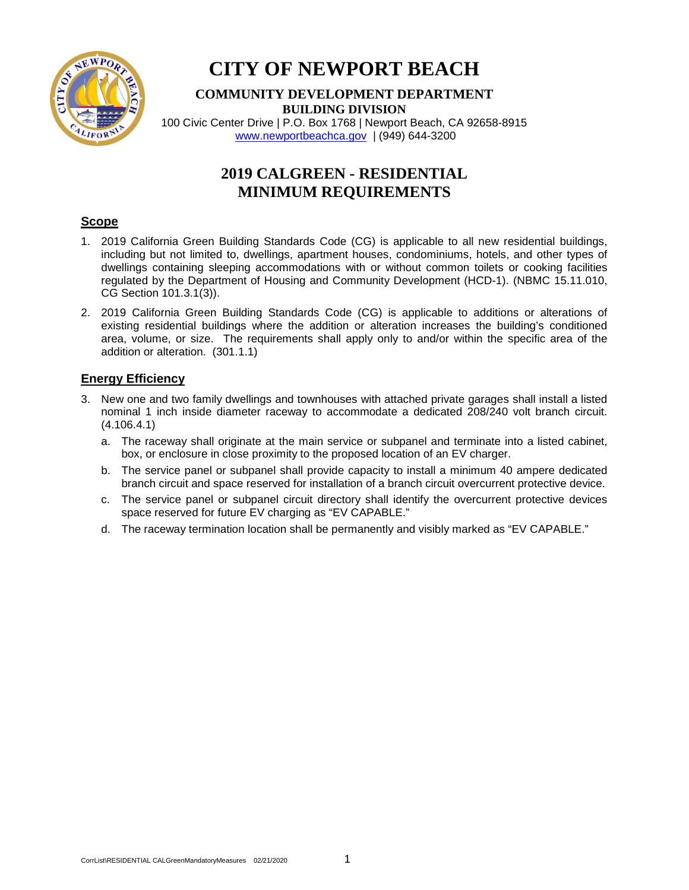

# **CITY OF NEWPORT BEACH**

## **COMMUNITY DEVELOPMENT DEPARTMENT BUILDING DIVISION**

100 Civic Center Drive | P.O. Box 1768 | Newport Beach, CA 92658-8915 [www.newportbeachca.gov](http://www.newportbeachca.gov/) | (949) 644-3200

# **2019 CALGREEN - RESIDENTIAL MINIMUM REQUIREMENTS**

#### **Scope**

- 1. 2019 California Green Building Standards Code (CG) is applicable to all new residential buildings, including but not limited to, dwellings, apartment houses, condominiums, hotels, and other types of dwellings containing sleeping accommodations with or without common toilets or cooking facilities regulated by the Department of Housing and Community Development (HCD-1). (NBMC 15.11.010, CG Section 101.3.1(3)).
- 2. 2019 California Green Building Standards Code (CG) is applicable to additions or alterations of existing residential buildings where the addition or alteration increases the building's conditioned area, volume, or size. The requirements shall apply only to and/or within the specific area of the addition or alteration. (301.1.1)

## **Energy Efficiency**

- 3. New one and two family dwellings and townhouses with attached private garages shall install a listed nominal 1 inch inside diameter raceway to accommodate a dedicated 208/240 volt branch circuit. (4.106.4.1)
	- a. The raceway shall originate at the main service or subpanel and terminate into a listed cabinet, box, or enclosure in close proximity to the proposed location of an EV charger.
	- b. The service panel or subpanel shall provide capacity to install a minimum 40 ampere dedicated branch circuit and space reserved for installation of a branch circuit overcurrent protective device.
	- c. The service panel or subpanel circuit directory shall identify the overcurrent protective devices space reserved for future EV charging as "EV CAPABLE."
	- d. The raceway termination location shall be permanently and visibly marked as "EV CAPABLE."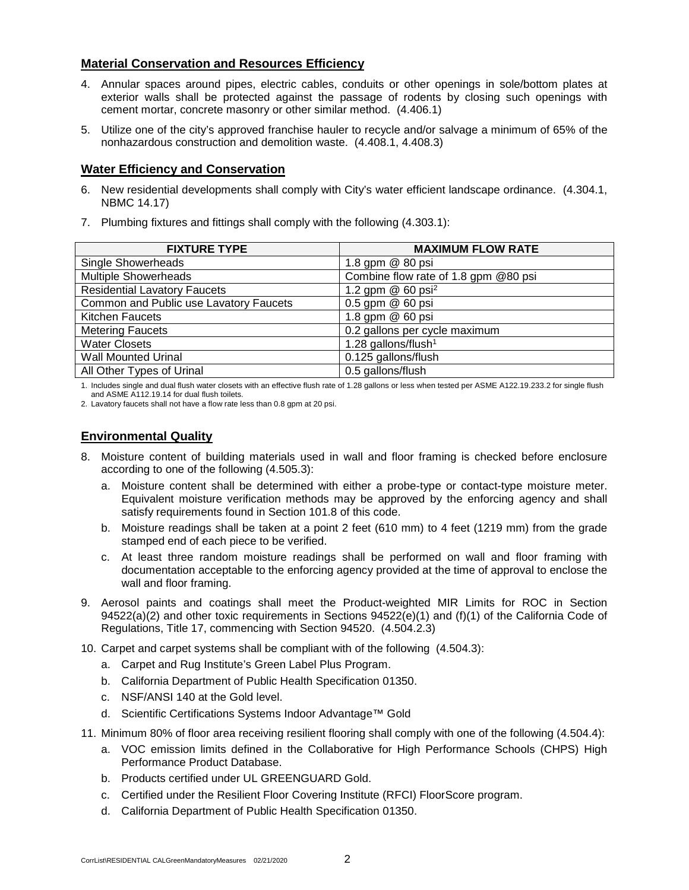#### **Material Conservation and Resources Efficiency**

- 4. Annular spaces around pipes, electric cables, conduits or other openings in sole/bottom plates at exterior walls shall be protected against the passage of rodents by closing such openings with cement mortar, concrete masonry or other similar method. (4.406.1)
- 5. Utilize one of the city's approved franchise hauler to recycle and/or salvage a minimum of 65% of the nonhazardous construction and demolition waste. (4.408.1, 4.408.3)

#### **Water Efficiency and Conservation**

- 6. New residential developments shall comply with City's water efficient landscape ordinance. (4.304.1, NBMC 14.17)
- 7. Plumbing fixtures and fittings shall comply with the following (4.303.1):

| <b>FIXTURE TYPE</b>                    | <b>MAXIMUM FLOW RATE</b>             |
|----------------------------------------|--------------------------------------|
| Single Showerheads                     | 1.8 gpm @ 80 psi                     |
| <b>Multiple Showerheads</b>            | Combine flow rate of 1.8 gpm @80 psi |
| <b>Residential Lavatory Faucets</b>    | 1.2 gpm $@$ 60 psi <sup>2</sup>      |
| Common and Public use Lavatory Faucets | 0.5 gpm @ 60 psi                     |
| <b>Kitchen Faucets</b>                 | 1.8 gpm @ 60 psi                     |
| <b>Metering Faucets</b>                | 0.2 gallons per cycle maximum        |
| <b>Water Closets</b>                   | 1.28 gallons/flush <sup>1</sup>      |
| <b>Wall Mounted Urinal</b>             | 0.125 gallons/flush                  |
| All Other Types of Urinal              | 0.5 gallons/flush                    |

1. Includes single and dual flush water closets with an effective flush rate of 1.28 gallons or less when tested per ASME A122.19.233.2 for single flush and ASME A112.19.14 for dual flush toilets.

2. Lavatory faucets shall not have a flow rate less than 0.8 gpm at 20 psi.

#### **Environmental Quality**

- 8. Moisture content of building materials used in wall and floor framing is checked before enclosure according to one of the following (4.505.3):
	- a. Moisture content shall be determined with either a probe-type or contact-type moisture meter. Equivalent moisture verification methods may be approved by the enforcing agency and shall satisfy requirements found in Section 101.8 of this code.
	- b. Moisture readings shall be taken at a point 2 feet (610 mm) to 4 feet (1219 mm) from the grade stamped end of each piece to be verified.
	- c. At least three random moisture readings shall be performed on wall and floor framing with documentation acceptable to the enforcing agency provided at the time of approval to enclose the wall and floor framing.
- 9. Aerosol paints and coatings shall meet the Product-weighted MIR Limits for ROC in Section 94522(a)(2) and other toxic requirements in Sections 94522(e)(1) and (f)(1) of the California Code of Regulations, Title 17, commencing with Section 94520. (4.504.2.3)
- 10. Carpet and carpet systems shall be compliant with of the following (4.504.3):
	- a. Carpet and Rug Institute's Green Label Plus Program.
	- b. California Department of Public Health Specification 01350.
	- c. NSF/ANSI 140 at the Gold level.
	- d. Scientific Certifications Systems Indoor Advantage™ Gold
- 11. Minimum 80% of floor area receiving resilient flooring shall comply with one of the following (4.504.4):
	- a. VOC emission limits defined in the Collaborative for High Performance Schools (CHPS) High Performance Product Database.
	- b. Products certified under UL GREENGUARD Gold.
	- c. Certified under the Resilient Floor Covering Institute (RFCI) FloorScore program.
	- d. California Department of Public Health Specification 01350.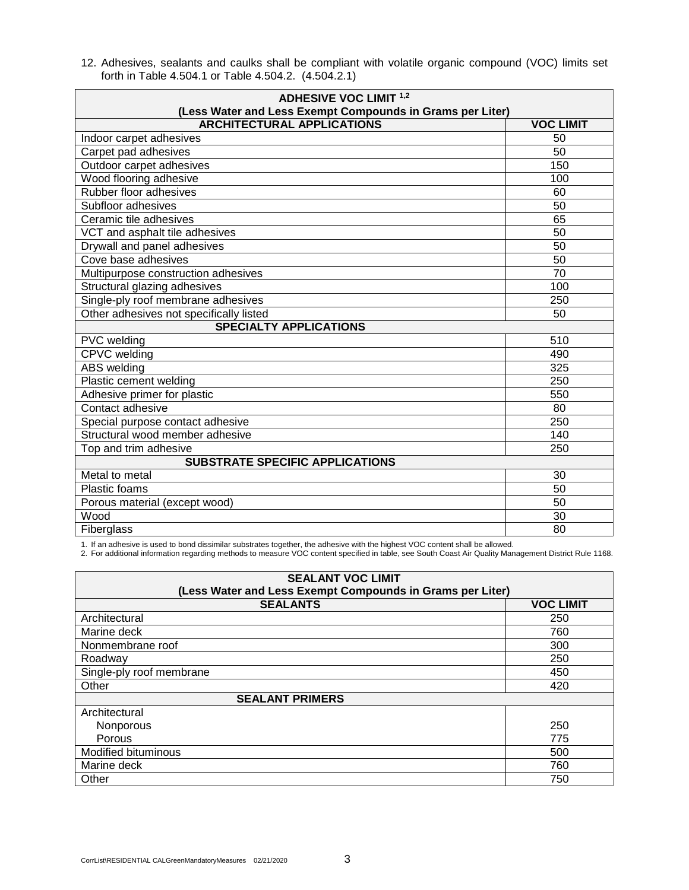12. Adhesives, sealants and caulks shall be compliant with volatile organic compound (VOC) limits set forth in Table 4.504.1 or Table 4.504.2. (4.504.2.1)

| <b>ADHESIVE VOC LIMIT 1,2</b><br>(Less Water and Less Exempt Compounds in Grams per Liter) |                  |  |
|--------------------------------------------------------------------------------------------|------------------|--|
| <b>ARCHITECTURAL APPLICATIONS</b>                                                          | <b>VOC LIMIT</b> |  |
| Indoor carpet adhesives                                                                    | 50               |  |
| Carpet pad adhesives                                                                       | 50               |  |
| Outdoor carpet adhesives                                                                   | 150              |  |
| Wood flooring adhesive                                                                     | 100              |  |
| Rubber floor adhesives                                                                     | 60               |  |
| Subfloor adhesives                                                                         | 50               |  |
| Ceramic tile adhesives                                                                     | 65               |  |
| VCT and asphalt tile adhesives                                                             | 50               |  |
| Drywall and panel adhesives                                                                | 50               |  |
| Cove base adhesives                                                                        | 50               |  |
| Multipurpose construction adhesives                                                        | 70               |  |
| Structural glazing adhesives                                                               | 100              |  |
| Single-ply roof membrane adhesives                                                         | 250              |  |
| Other adhesives not specifically listed                                                    | 50               |  |
| <b>SPECIALTY APPLICATIONS</b>                                                              |                  |  |
| PVC welding                                                                                | 510              |  |
| CPVC welding                                                                               | 490              |  |
| <b>ABS</b> welding                                                                         | 325              |  |
| Plastic cement welding                                                                     | 250              |  |
| Adhesive primer for plastic                                                                | 550              |  |
| Contact adhesive                                                                           | 80               |  |
| Special purpose contact adhesive                                                           | 250              |  |
| Structural wood member adhesive                                                            | 140              |  |
| Top and trim adhesive                                                                      | 250              |  |
| <b>SUBSTRATE SPECIFIC APPLICATIONS</b>                                                     |                  |  |
| Metal to metal                                                                             | 30               |  |
| <b>Plastic foams</b>                                                                       | 50               |  |
| Porous material (except wood)                                                              | 50               |  |
| Wood                                                                                       | 30               |  |
| <b>Fiberglass</b>                                                                          | 80               |  |

1. If an adhesive is used to bond dissimilar substrates together, the adhesive with the highest VOC content shall be allowed.

2. For additional information regarding methods to measure VOC content specified in table, see South Coast Air Quality Management District Rule 1168.

| <b>SEALANT VOC LIMIT</b><br>(Less Water and Less Exempt Compounds in Grams per Liter) |                  |  |
|---------------------------------------------------------------------------------------|------------------|--|
| <b>SEALANTS</b>                                                                       | <b>VOC LIMIT</b> |  |
| Architectural                                                                         | 250              |  |
| Marine deck                                                                           | 760              |  |
| Nonmembrane roof                                                                      | 300              |  |
| Roadway                                                                               | 250              |  |
| Single-ply roof membrane                                                              | 450              |  |
| Other                                                                                 | 420              |  |
| <b>SEALANT PRIMERS</b>                                                                |                  |  |
| Architectural                                                                         |                  |  |
| Nonporous                                                                             | 250              |  |
| Porous                                                                                | 775              |  |
| <b>Modified bituminous</b>                                                            | 500              |  |
| Marine deck                                                                           | 760              |  |
| Other                                                                                 | 750              |  |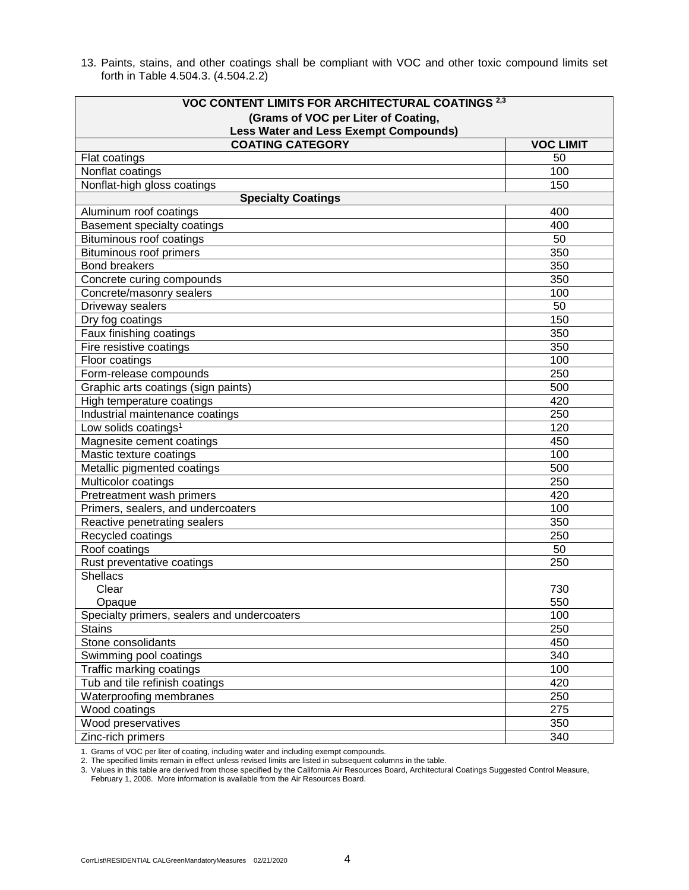13. Paints, stains, and other coatings shall be compliant with VOC and other toxic compound limits set forth in Table 4.504.3. (4.504.2.2)

| VOC CONTENT LIMITS FOR ARCHITECTURAL COATINGS <sup>2,3</sup> |                  |
|--------------------------------------------------------------|------------------|
| (Grams of VOC per Liter of Coating,                          |                  |
| <b>Less Water and Less Exempt Compounds)</b>                 |                  |
| <b>COATING CATEGORY</b>                                      | <b>VOC LIMIT</b> |
| Flat coatings                                                | 50               |
| Nonflat coatings                                             | 100              |
| Nonflat-high gloss coatings                                  | 150              |
| <b>Specialty Coatings</b>                                    |                  |
| Aluminum roof coatings                                       | 400              |
| <b>Basement specialty coatings</b>                           | 400              |
| Bituminous roof coatings                                     | 50               |
| Bituminous roof primers                                      | 350              |
| <b>Bond breakers</b>                                         | 350              |
| Concrete curing compounds                                    | 350              |
| Concrete/masonry sealers                                     | 100              |
| Driveway sealers                                             | 50               |
| Dry fog coatings                                             | 150              |
| Faux finishing coatings                                      | 350              |
| Fire resistive coatings                                      | 350              |
| Floor coatings                                               | 100              |
| Form-release compounds                                       | 250              |
| Graphic arts coatings (sign paints)                          | 500              |
| High temperature coatings                                    | 420              |
| Industrial maintenance coatings                              | 250              |
| Low solids coatings <sup>1</sup>                             | 120              |
| Magnesite cement coatings                                    | 450              |
| Mastic texture coatings                                      | 100              |
| Metallic pigmented coatings                                  | 500              |
| Multicolor coatings                                          | 250              |
| Pretreatment wash primers                                    | 420              |
| Primers, sealers, and undercoaters                           | 100              |
| Reactive penetrating sealers                                 | 350              |
| Recycled coatings                                            | 250              |
| Roof coatings                                                | 50               |
| Rust preventative coatings                                   | 250              |
| <b>Shellacs</b>                                              |                  |
| Clear                                                        | 730              |
| Opaque                                                       | 550              |
| Specialty primers, sealers and undercoaters                  | 100              |
| <b>Stains</b>                                                | 250              |
| Stone consolidants                                           | 450              |
| Swimming pool coatings                                       | 340              |
| Traffic marking coatings                                     | 100              |
| Tub and tile refinish coatings                               | 420              |
| Waterproofing membranes                                      | 250              |
| Wood coatings                                                | 275              |
| Wood preservatives                                           | 350              |
| Zinc-rich primers                                            | 340              |

1. Grams of VOC per liter of coating, including water and including exempt compounds.

2. The specified limits remain in effect unless revised limits are listed in subsequent columns in the table.

3. Values in this table are derived from those specified by the California Air Resources Board, Architectural Coatings Suggested Control Measure,

February 1, 2008. More information is available from the Air Resources Board.